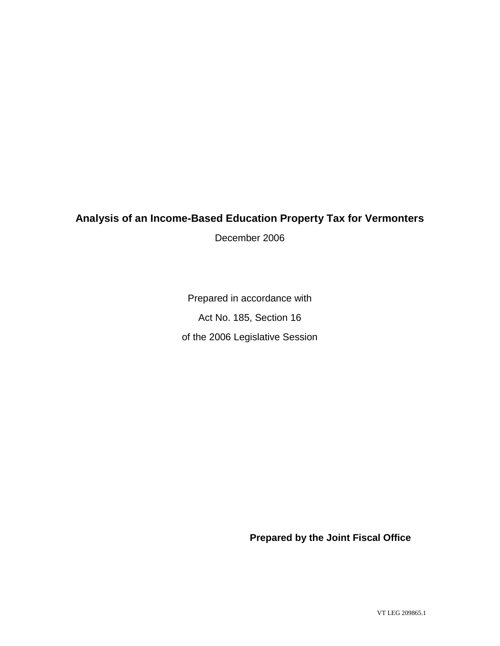# **Analysis of an Income-Based Education Property Tax for Vermonters**

December 2006

Prepared in accordance with Act No. 185, Section 16 of the 2006 Legislative Session

**Prepared by the Joint Fiscal Office**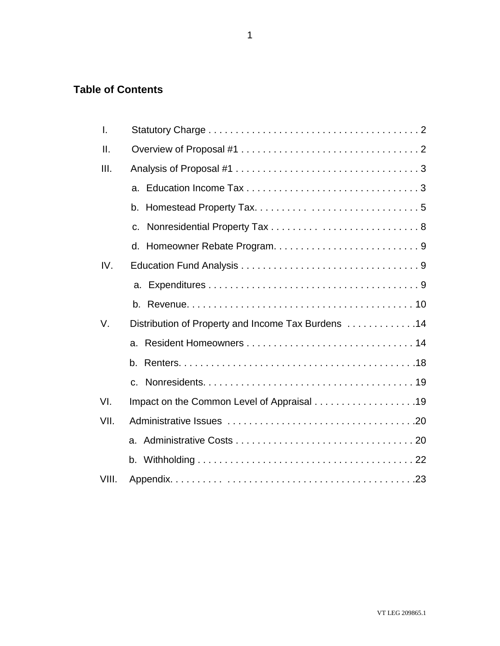# **Table of Contents**

| I.              |                                                    |
|-----------------|----------------------------------------------------|
| $\mathbf{II}$ . |                                                    |
| III.            |                                                    |
|                 |                                                    |
|                 |                                                    |
|                 | $C_{\cdot}$                                        |
|                 |                                                    |
| IV.             |                                                    |
|                 |                                                    |
|                 |                                                    |
| V.              | Distribution of Property and Income Tax Burdens 14 |
|                 | a.                                                 |
|                 | b.                                                 |
|                 | C.                                                 |
| VI.             |                                                    |
| VII.            |                                                    |
|                 |                                                    |
|                 |                                                    |
| VIII.           |                                                    |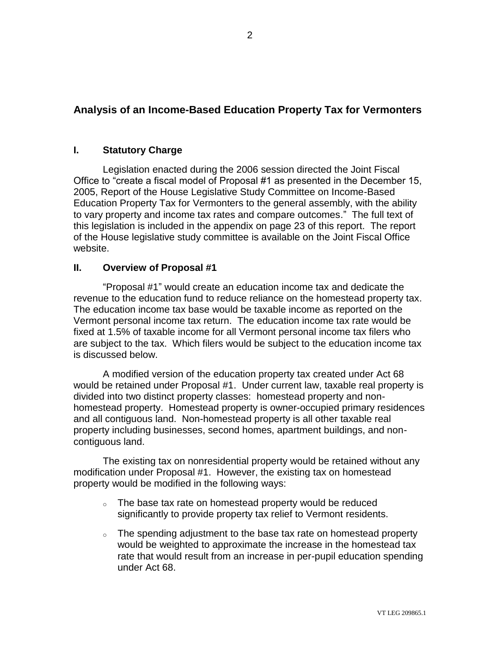# **Analysis of an Income-Based Education Property Tax for Vermonters**

# **I. Statutory Charge**

Legislation enacted during the 2006 session directed the Joint Fiscal Office to "create a fiscal model of Proposal #1 as presented in the December 15, 2005, Report of the House Legislative Study Committee on Income-Based Education Property Tax for Vermonters to the general assembly, with the ability to vary property and income tax rates and compare outcomes." The full text of this legislation is included in the appendix on page 23 of this report. The report of the House legislative study committee is available on the Joint Fiscal Office website.

# **II. Overview of Proposal #1**

"Proposal #1" would create an education income tax and dedicate the revenue to the education fund to reduce reliance on the homestead property tax. The education income tax base would be taxable income as reported on the Vermont personal income tax return. The education income tax rate would be fixed at 1.5% of taxable income for all Vermont personal income tax filers who are subject to the tax. Which filers would be subject to the education income tax is discussed below.

A modified version of the education property tax created under Act 68 would be retained under Proposal #1. Under current law, taxable real property is divided into two distinct property classes: homestead property and nonhomestead property. Homestead property is owner-occupied primary residences and all contiguous land. Non-homestead property is all other taxable real property including businesses, second homes, apartment buildings, and noncontiguous land.

The existing tax on nonresidential property would be retained without any modification under Proposal #1. However, the existing tax on homestead property would be modified in the following ways:

- o The base tax rate on homestead property would be reduced significantly to provide property tax relief to Vermont residents.
- $\circ$  The spending adjustment to the base tax rate on homestead property would be weighted to approximate the increase in the homestead tax rate that would result from an increase in per-pupil education spending under Act 68.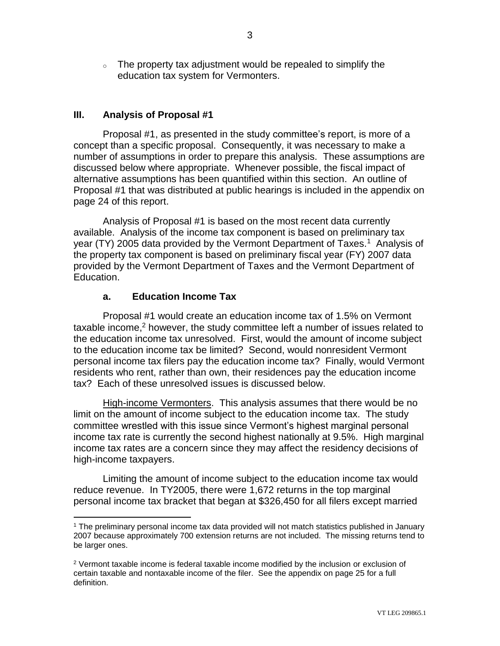<sup>o</sup> The property tax adjustment would be repealed to simplify the education tax system for Vermonters.

# **III. Analysis of Proposal #1**

Proposal #1, as presented in the study committee's report, is more of a concept than a specific proposal. Consequently, it was necessary to make a number of assumptions in order to prepare this analysis. These assumptions are discussed below where appropriate. Whenever possible, the fiscal impact of alternative assumptions has been quantified within this section. An outline of Proposal #1 that was distributed at public hearings is included in the appendix on page 24 of this report.

Analysis of Proposal #1 is based on the most recent data currently available. Analysis of the income tax component is based on preliminary tax year (TY) 2005 data provided by the Vermont Department of Taxes.<sup>1</sup> Analysis of the property tax component is based on preliminary fiscal year (FY) 2007 data provided by the Vermont Department of Taxes and the Vermont Department of Education.

# **a. Education Income Tax**

Proposal #1 would create an education income tax of 1.5% on Vermont taxable income, <sup>2</sup> however, the study committee left a number of issues related to the education income tax unresolved. First, would the amount of income subject to the education income tax be limited? Second, would nonresident Vermont personal income tax filers pay the education income tax? Finally, would Vermont residents who rent, rather than own, their residences pay the education income tax? Each of these unresolved issues is discussed below.

High-income Vermonters. This analysis assumes that there would be no limit on the amount of income subject to the education income tax. The study committee wrestled with this issue since Vermont's highest marginal personal income tax rate is currently the second highest nationally at 9.5%. High marginal income tax rates are a concern since they may affect the residency decisions of high-income taxpayers.

Limiting the amount of income subject to the education income tax would reduce revenue. In TY2005, there were 1,672 returns in the top marginal personal income tax bracket that began at \$326,450 for all filers except married

 $\overline{a}$ <sup>1</sup> The preliminary personal income tax data provided will not match statistics published in January 2007 because approximately 700 extension returns are not included. The missing returns tend to be larger ones.

 $2$  Vermont taxable income is federal taxable income modified by the inclusion or exclusion of certain taxable and nontaxable income of the filer. See the appendix on page 25 for a full definition.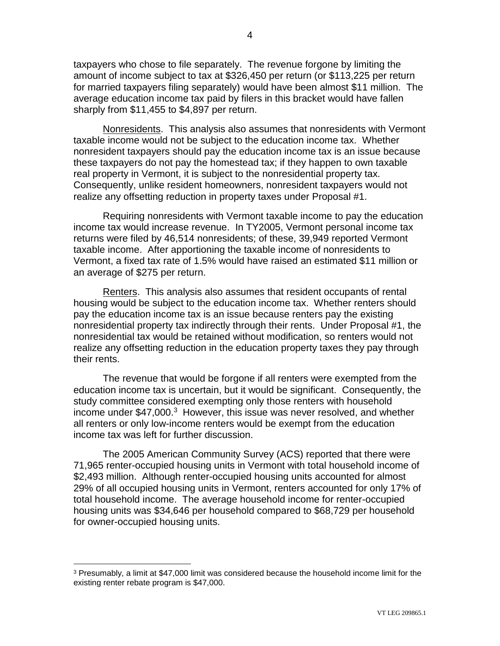taxpayers who chose to file separately. The revenue forgone by limiting the amount of income subject to tax at \$326,450 per return (or \$113,225 per return for married taxpayers filing separately) would have been almost \$11 million. The average education income tax paid by filers in this bracket would have fallen sharply from \$11,455 to \$4,897 per return.

Nonresidents. This analysis also assumes that nonresidents with Vermont taxable income would not be subject to the education income tax. Whether nonresident taxpayers should pay the education income tax is an issue because these taxpayers do not pay the homestead tax; if they happen to own taxable real property in Vermont, it is subject to the nonresidential property tax. Consequently, unlike resident homeowners, nonresident taxpayers would not realize any offsetting reduction in property taxes under Proposal #1.

Requiring nonresidents with Vermont taxable income to pay the education income tax would increase revenue. In TY2005, Vermont personal income tax returns were filed by 46,514 nonresidents; of these, 39,949 reported Vermont taxable income. After apportioning the taxable income of nonresidents to Vermont, a fixed tax rate of 1.5% would have raised an estimated \$11 million or an average of \$275 per return.

Renters. This analysis also assumes that resident occupants of rental housing would be subject to the education income tax. Whether renters should pay the education income tax is an issue because renters pay the existing nonresidential property tax indirectly through their rents. Under Proposal #1, the nonresidential tax would be retained without modification, so renters would not realize any offsetting reduction in the education property taxes they pay through their rents.

The revenue that would be forgone if all renters were exempted from the education income tax is uncertain, but it would be significant. Consequently, the study committee considered exempting only those renters with household income under \$47,000.<sup>3</sup> However, this issue was never resolved, and whether all renters or only low-income renters would be exempt from the education income tax was left for further discussion.

The 2005 American Community Survey (ACS) reported that there were 71,965 renter-occupied housing units in Vermont with total household income of \$2,493 million. Although renter-occupied housing units accounted for almost 29% of all occupied housing units in Vermont, renters accounted for only 17% of total household income. The average household income for renter-occupied housing units was \$34,646 per household compared to \$68,729 per household for owner-occupied housing units.

 $\overline{a}$ 

<sup>3</sup> Presumably, a limit at \$47,000 limit was considered because the household income limit for the existing renter rebate program is \$47,000.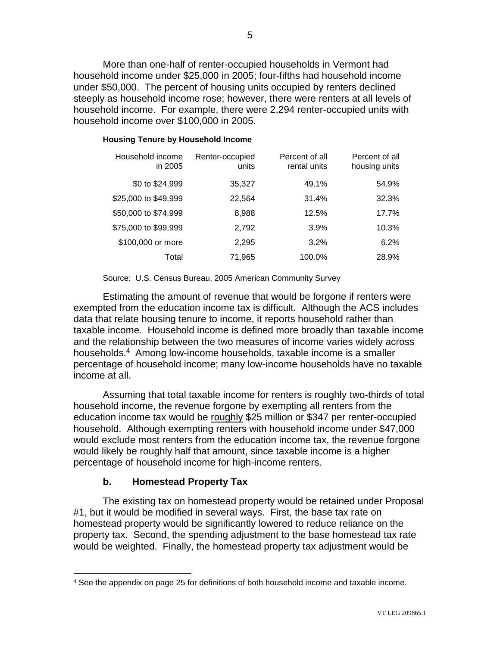More than one-half of renter-occupied households in Vermont had household income under \$25,000 in 2005; four-fifths had household income under \$50,000. The percent of housing units occupied by renters declined steeply as household income rose; however, there were renters at all levels of household income. For example, there were 2,294 renter-occupied units with household income over \$100,000 in 2005.

### **Housing Tenure by Household Income**

| Household income<br>in 2005 | Renter-occupied<br>units | Percent of all<br>rental units | Percent of all<br>housing units |
|-----------------------------|--------------------------|--------------------------------|---------------------------------|
| \$0 to \$24,999             | 35,327                   | 49.1%                          | 54.9%                           |
| \$25,000 to \$49,999        | 22,564                   | 31.4%                          | 32.3%                           |
| \$50,000 to \$74,999        | 8,988                    | 12.5%                          | 17.7%                           |
| \$75,000 to \$99,999        | 2,792                    | 3.9%                           | 10.3%                           |
| \$100,000 or more           | 2.295                    | 3.2%                           | 6.2%                            |
| Total                       | 71,965                   | 100.0%                         | 28.9%                           |

Source: U.S. Census Bureau, 2005 American Community Survey

Estimating the amount of revenue that would be forgone if renters were exempted from the education income tax is difficult. Although the ACS includes data that relate housing tenure to income, it reports household rather than taxable income. Household income is defined more broadly than taxable income and the relationship between the two measures of income varies widely across households.<sup>4</sup> Among low-income households, taxable income is a smaller percentage of household income; many low-income households have no taxable income at all.

Assuming that total taxable income for renters is roughly two-thirds of total household income, the revenue forgone by exempting all renters from the education income tax would be roughly \$25 million or \$347 per renter-occupied household. Although exempting renters with household income under \$47,000 would exclude most renters from the education income tax, the revenue forgone would likely be roughly half that amount, since taxable income is a higher percentage of household income for high-income renters.

# **b. Homestead Property Tax**

 $\overline{a}$ 

The existing tax on homestead property would be retained under Proposal #1, but it would be modified in several ways. First, the base tax rate on homestead property would be significantly lowered to reduce reliance on the property tax. Second, the spending adjustment to the base homestead tax rate would be weighted. Finally, the homestead property tax adjustment would be

<sup>4</sup> See the appendix on page 25 for definitions of both household income and taxable income.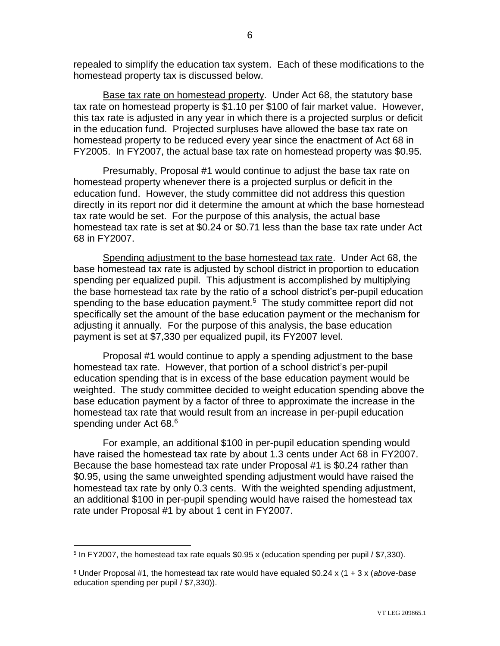repealed to simplify the education tax system. Each of these modifications to the homestead property tax is discussed below.

Base tax rate on homestead property. Under Act 68, the statutory base tax rate on homestead property is \$1.10 per \$100 of fair market value. However, this tax rate is adjusted in any year in which there is a projected surplus or deficit in the education fund. Projected surpluses have allowed the base tax rate on homestead property to be reduced every year since the enactment of Act 68 in FY2005. In FY2007, the actual base tax rate on homestead property was \$0.95.

Presumably, Proposal #1 would continue to adjust the base tax rate on homestead property whenever there is a projected surplus or deficit in the education fund. However, the study committee did not address this question directly in its report nor did it determine the amount at which the base homestead tax rate would be set. For the purpose of this analysis, the actual base homestead tax rate is set at \$0.24 or \$0.71 less than the base tax rate under Act 68 in FY2007.

Spending adjustment to the base homestead tax rate. Under Act 68, the base homestead tax rate is adjusted by school district in proportion to education spending per equalized pupil. This adjustment is accomplished by multiplying the base homestead tax rate by the ratio of a school district's per-pupil education spending to the base education payment. $5$  The study committee report did not specifically set the amount of the base education payment or the mechanism for adjusting it annually. For the purpose of this analysis, the base education payment is set at \$7,330 per equalized pupil, its FY2007 level.

Proposal #1 would continue to apply a spending adjustment to the base homestead tax rate. However, that portion of a school district's per-pupil education spending that is in excess of the base education payment would be weighted. The study committee decided to weight education spending above the base education payment by a factor of three to approximate the increase in the homestead tax rate that would result from an increase in per-pupil education spending under Act 68. 6

For example, an additional \$100 in per-pupil education spending would have raised the homestead tax rate by about 1.3 cents under Act 68 in FY2007. Because the base homestead tax rate under Proposal #1 is \$0.24 rather than \$0.95, using the same unweighted spending adjustment would have raised the homestead tax rate by only 0.3 cents. With the weighted spending adjustment, an additional \$100 in per-pupil spending would have raised the homestead tax rate under Proposal #1 by about 1 cent in FY2007.

 $\overline{a}$ 

<sup>&</sup>lt;sup>5</sup> In FY2007, the homestead tax rate equals \$0.95 x (education spending per pupil / \$7,330).

<sup>6</sup> Under Proposal #1, the homestead tax rate would have equaled \$0.24 x (1 + 3 x (*above-base* education spending per pupil / \$7,330)).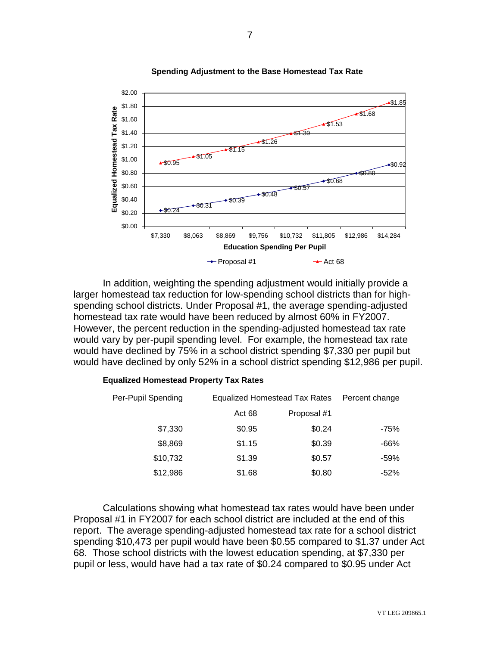

**Spending Adjustment to the Base Homestead Tax Rate**

In addition, weighting the spending adjustment would initially provide a larger homestead tax reduction for low-spending school districts than for highspending school districts. Under Proposal #1, the average spending-adjusted homestead tax rate would have been reduced by almost 60% in FY2007. However, the percent reduction in the spending-adjusted homestead tax rate would vary by per-pupil spending level. For example, the homestead tax rate would have declined by 75% in a school district spending \$7,330 per pupil but would have declined by only 52% in a school district spending \$12,986 per pupil.

| Per-Pupil Spending |        | <b>Equalized Homestead Tax Rates</b> |        |  |
|--------------------|--------|--------------------------------------|--------|--|
|                    | Act 68 | Proposal #1                          |        |  |
| \$7,330            | \$0.95 | \$0.24                               | -75%   |  |
| \$8,869            | \$1.15 | \$0.39                               | $-66%$ |  |
| \$10,732           | \$1.39 | \$0.57                               | $-59%$ |  |
| \$12,986           | \$1.68 | \$0.80                               | $-52%$ |  |

#### **Equalized Homestead Property Tax Rates**

Calculations showing what homestead tax rates would have been under Proposal #1 in FY2007 for each school district are included at the end of this report. The average spending-adjusted homestead tax rate for a school district spending \$10,473 per pupil would have been \$0.55 compared to \$1.37 under Act 68. Those school districts with the lowest education spending, at \$7,330 per pupil or less, would have had a tax rate of \$0.24 compared to \$0.95 under Act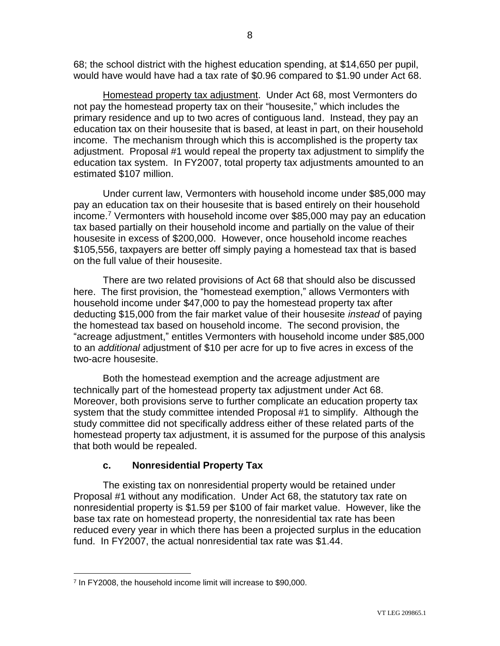68; the school district with the highest education spending, at \$14,650 per pupil, would have would have had a tax rate of \$0.96 compared to \$1.90 under Act 68.

Homestead property tax adjustment. Under Act 68, most Vermonters do not pay the homestead property tax on their "housesite," which includes the primary residence and up to two acres of contiguous land. Instead, they pay an education tax on their housesite that is based, at least in part, on their household income. The mechanism through which this is accomplished is the property tax adjustment. Proposal #1 would repeal the property tax adjustment to simplify the education tax system. In FY2007, total property tax adjustments amounted to an estimated \$107 million.

Under current law, Vermonters with household income under \$85,000 may pay an education tax on their housesite that is based entirely on their household income.<sup>7</sup> Vermonters with household income over \$85,000 may pay an education tax based partially on their household income and partially on the value of their housesite in excess of \$200,000. However, once household income reaches \$105,556, taxpayers are better off simply paying a homestead tax that is based on the full value of their housesite.

There are two related provisions of Act 68 that should also be discussed here. The first provision, the "homestead exemption," allows Vermonters with household income under \$47,000 to pay the homestead property tax after deducting \$15,000 from the fair market value of their housesite *instead* of paying the homestead tax based on household income. The second provision, the "acreage adjustment," entitles Vermonters with household income under \$85,000 to an *additional* adjustment of \$10 per acre for up to five acres in excess of the two-acre housesite.

Both the homestead exemption and the acreage adjustment are technically part of the homestead property tax adjustment under Act 68. Moreover, both provisions serve to further complicate an education property tax system that the study committee intended Proposal #1 to simplify. Although the study committee did not specifically address either of these related parts of the homestead property tax adjustment, it is assumed for the purpose of this analysis that both would be repealed.

# **c. Nonresidential Property Tax**

The existing tax on nonresidential property would be retained under Proposal #1 without any modification. Under Act 68, the statutory tax rate on nonresidential property is \$1.59 per \$100 of fair market value. However, like the base tax rate on homestead property, the nonresidential tax rate has been reduced every year in which there has been a projected surplus in the education fund. In FY2007, the actual nonresidential tax rate was \$1.44.

 $\overline{a}$ 

<sup>7</sup> In FY2008, the household income limit will increase to \$90,000.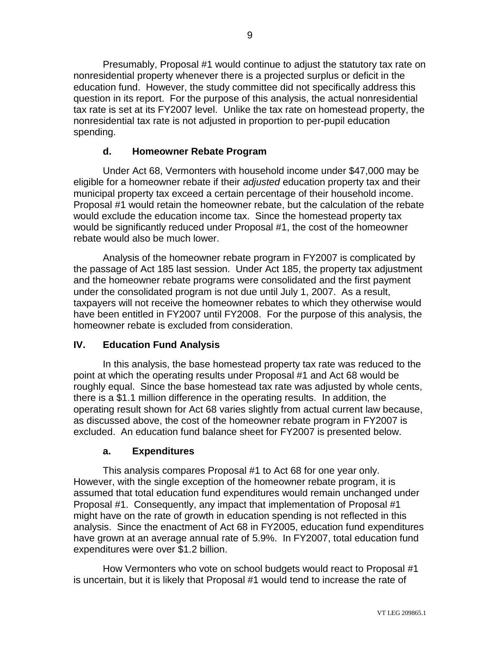Presumably, Proposal #1 would continue to adjust the statutory tax rate on nonresidential property whenever there is a projected surplus or deficit in the education fund. However, the study committee did not specifically address this question in its report. For the purpose of this analysis, the actual nonresidential tax rate is set at its FY2007 level. Unlike the tax rate on homestead property, the nonresidential tax rate is not adjusted in proportion to per-pupil education spending.

# **d. Homeowner Rebate Program**

Under Act 68, Vermonters with household income under \$47,000 may be eligible for a homeowner rebate if their *adjusted* education property tax and their municipal property tax exceed a certain percentage of their household income. Proposal #1 would retain the homeowner rebate, but the calculation of the rebate would exclude the education income tax. Since the homestead property tax would be significantly reduced under Proposal #1, the cost of the homeowner rebate would also be much lower.

Analysis of the homeowner rebate program in FY2007 is complicated by the passage of Act 185 last session. Under Act 185, the property tax adjustment and the homeowner rebate programs were consolidated and the first payment under the consolidated program is not due until July 1, 2007. As a result, taxpayers will not receive the homeowner rebates to which they otherwise would have been entitled in FY2007 until FY2008. For the purpose of this analysis, the homeowner rebate is excluded from consideration.

# **IV. Education Fund Analysis**

In this analysis, the base homestead property tax rate was reduced to the point at which the operating results under Proposal #1 and Act 68 would be roughly equal. Since the base homestead tax rate was adjusted by whole cents, there is a \$1.1 million difference in the operating results. In addition, the operating result shown for Act 68 varies slightly from actual current law because, as discussed above, the cost of the homeowner rebate program in FY2007 is excluded. An education fund balance sheet for FY2007 is presented below.

# **a. Expenditures**

This analysis compares Proposal #1 to Act 68 for one year only. However, with the single exception of the homeowner rebate program, it is assumed that total education fund expenditures would remain unchanged under Proposal #1. Consequently, any impact that implementation of Proposal #1 might have on the rate of growth in education spending is not reflected in this analysis. Since the enactment of Act 68 in FY2005, education fund expenditures have grown at an average annual rate of 5.9%. In FY2007, total education fund expenditures were over \$1.2 billion.

How Vermonters who vote on school budgets would react to Proposal #1 is uncertain, but it is likely that Proposal #1 would tend to increase the rate of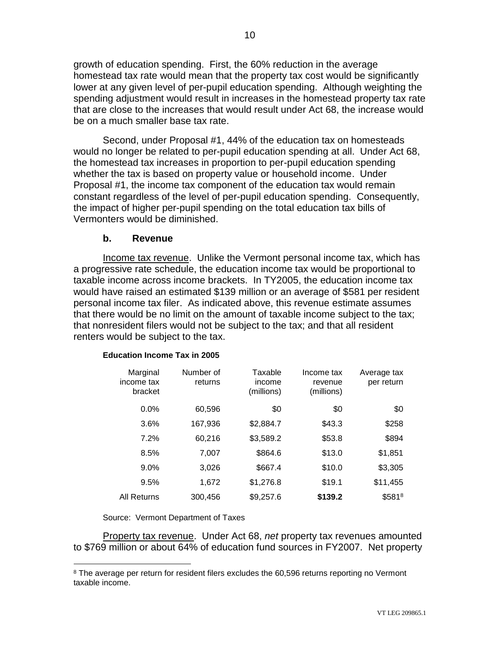growth of education spending. First, the 60% reduction in the average homestead tax rate would mean that the property tax cost would be significantly lower at any given level of per-pupil education spending. Although weighting the spending adjustment would result in increases in the homestead property tax rate that are close to the increases that would result under Act 68, the increase would be on a much smaller base tax rate.

Second, under Proposal #1, 44% of the education tax on homesteads would no longer be related to per-pupil education spending at all. Under Act 68, the homestead tax increases in proportion to per-pupil education spending whether the tax is based on property value or household income. Under Proposal #1, the income tax component of the education tax would remain constant regardless of the level of per-pupil education spending. Consequently, the impact of higher per-pupil spending on the total education tax bills of Vermonters would be diminished.

# **b. Revenue**

Income tax revenue. Unlike the Vermont personal income tax, which has a progressive rate schedule, the education income tax would be proportional to taxable income across income brackets. In TY2005, the education income tax would have raised an estimated \$139 million or an average of \$581 per resident personal income tax filer. As indicated above, this revenue estimate assumes that there would be no limit on the amount of taxable income subject to the tax; that nonresident filers would not be subject to the tax; and that all resident renters would be subject to the tax.

| Marginal<br>income tax<br>bracket | Number of<br>returns | Taxable<br>income<br>(millions) | Income tax<br>revenue<br>(millions) | Average tax<br>per return |
|-----------------------------------|----------------------|---------------------------------|-------------------------------------|---------------------------|
| $0.0\%$                           | 60.596               | \$0                             | \$0                                 | \$0                       |
| 3.6%                              | 167,936              | \$2,884.7                       | \$43.3                              | \$258                     |
| 7.2%                              | 60.216               | \$3,589.2                       | \$53.8                              | \$894                     |
| 8.5%                              | 7.007                | \$864.6                         | \$13.0                              | \$1,851                   |
| $9.0\%$                           | 3.026                | \$667.4                         | \$10.0                              | \$3,305                   |
| 9.5%                              | 1.672                | \$1,276.8                       | \$19.1                              | \$11,455                  |
| All Returns                       | 300.456              | \$9,257.6                       | \$139.2                             | \$5818                    |

#### **Education Income Tax in 2005**

Source: Vermont Department of Taxes

 $\overline{a}$ 

Property tax revenue. Under Act 68, *net* property tax revenues amounted to \$769 million or about 64% of education fund sources in FY2007. Net property

<sup>&</sup>lt;sup>8</sup> The average per return for resident filers excludes the 60,596 returns reporting no Vermont taxable income.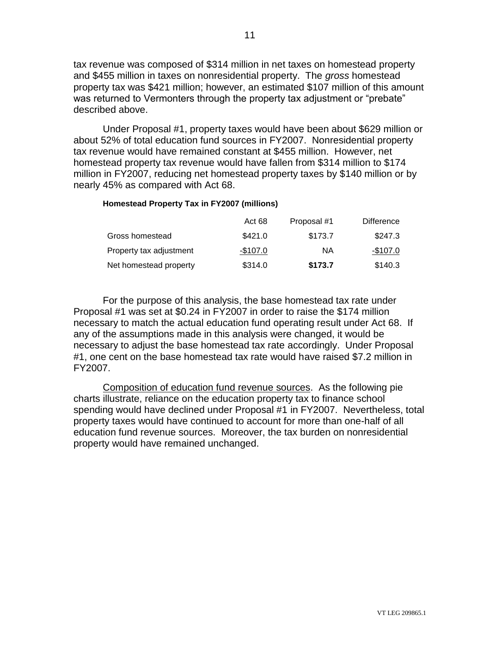tax revenue was composed of \$314 million in net taxes on homestead property and \$455 million in taxes on nonresidential property. The *gross* homestead property tax was \$421 million; however, an estimated \$107 million of this amount was returned to Vermonters through the property tax adjustment or "prebate" described above.

Under Proposal #1, property taxes would have been about \$629 million or about 52% of total education fund sources in FY2007. Nonresidential property tax revenue would have remained constant at \$455 million. However, net homestead property tax revenue would have fallen from \$314 million to \$174 million in FY2007, reducing net homestead property taxes by \$140 million or by nearly 45% as compared with Act 68.

### **Homestead Property Tax in FY2007 (millions)**

|                         | Act 68    | Proposal #1 | <b>Difference</b> |
|-------------------------|-----------|-------------|-------------------|
| Gross homestead         | \$421.0   | \$173.7     | \$247.3           |
| Property tax adjustment | $-$107.0$ | ΝA          | -\$107.0          |
| Net homestead property  | \$314.0   | \$173.7     | \$140.3           |

For the purpose of this analysis, the base homestead tax rate under Proposal #1 was set at \$0.24 in FY2007 in order to raise the \$174 million necessary to match the actual education fund operating result under Act 68. If any of the assumptions made in this analysis were changed, it would be necessary to adjust the base homestead tax rate accordingly. Under Proposal #1, one cent on the base homestead tax rate would have raised \$7.2 million in FY2007.

Composition of education fund revenue sources. As the following pie charts illustrate, reliance on the education property tax to finance school spending would have declined under Proposal #1 in FY2007. Nevertheless, total property taxes would have continued to account for more than one-half of all education fund revenue sources. Moreover, the tax burden on nonresidential property would have remained unchanged.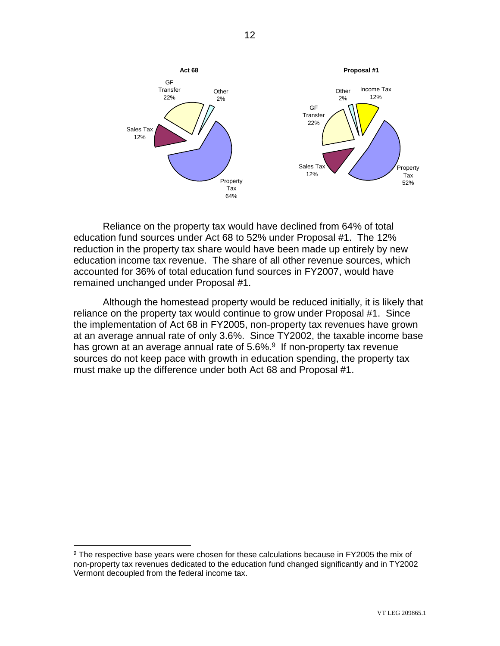

Reliance on the property tax would have declined from 64% of total education fund sources under Act 68 to 52% under Proposal #1. The 12% reduction in the property tax share would have been made up entirely by new education income tax revenue. The share of all other revenue sources, which accounted for 36% of total education fund sources in FY2007, would have remained unchanged under Proposal #1.

Although the homestead property would be reduced initially, it is likely that reliance on the property tax would continue to grow under Proposal #1. Since the implementation of Act 68 in FY2005, non-property tax revenues have grown at an average annual rate of only 3.6%. Since TY2002, the taxable income base has grown at an average annual rate of 5.6%.<sup>9</sup> If non-property tax revenue sources do not keep pace with growth in education spending, the property tax must make up the difference under both Act 68 and Proposal #1.

 $\overline{a}$ 

<sup>&</sup>lt;sup>9</sup> The respective base years were chosen for these calculations because in FY2005 the mix of non-property tax revenues dedicated to the education fund changed significantly and in TY2002 Vermont decoupled from the federal income tax.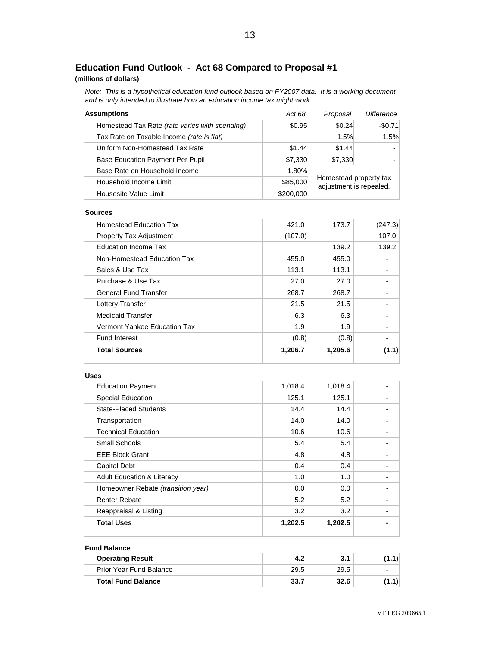# **Education Fund Outlook - Act 68 Compared to Proposal #1**

### **(millions of dollars)**

*Note: This is a hypothetical education fund outlook based on FY2007 data. It is a working document and is only intended to illustrate how an education income tax might work.*

| <b>Assumptions</b>                             | Act 68    | Proposal | Difference                                        |  |
|------------------------------------------------|-----------|----------|---------------------------------------------------|--|
| Homestead Tax Rate (rate varies with spending) | \$0.95    | \$0.24   | $-$0.71$                                          |  |
| Tax Rate on Taxable Income (rate is flat)      |           | 1.5%     | 1.5%                                              |  |
| Uniform Non-Homestead Tax Rate                 | \$1.44    | \$1.44   |                                                   |  |
| Base Education Payment Per Pupil               | \$7,330   | \$7,330  |                                                   |  |
| Base Rate on Household Income                  | 1.80%     |          |                                                   |  |
| \$85,000<br>Household Income Limit             |           |          | Homestead property tax<br>adjustment is repealed. |  |
| Housesite Value Limit                          | \$200,000 |          |                                                   |  |

#### **Sources**

| <b>Total Sources</b>           |                                | 1,206.7 | 1,205.6 | (1.1)                    |
|--------------------------------|--------------------------------|---------|---------|--------------------------|
| <b>Fund Interest</b>           |                                | (0.8)   | (0.8)   | $\overline{\phantom{a}}$ |
|                                | Vermont Yankee Education Tax   | 1.9     | 1.9     | $\overline{\phantom{0}}$ |
| <b>Medicaid Transfer</b>       |                                | 6.3     | 6.3     | $\overline{\phantom{0}}$ |
| Lottery Transfer               |                                | 21.5    | 21.5    |                          |
| <b>General Fund Transfer</b>   |                                | 268.7   | 268.7   |                          |
| Purchase & Use Tax             |                                | 27.0    | 27.0    |                          |
| Sales & Use Tax                |                                | 113.1   | 113.1   |                          |
|                                | Non-Homestead Education Tax    | 455.0   | 455.0   | -                        |
| Education Income Tax           |                                |         | 139.2   | 139.2                    |
| <b>Property Tax Adjustment</b> |                                | (107.0) |         | 107.0                    |
|                                | <b>Homestead Education Tax</b> | 421.0   | 173.7   | (247.3)                  |
|                                |                                |         |         |                          |

#### **Uses**

| <b>Education Payment</b>              | 1,018.4 | 1,018.4 |  |
|---------------------------------------|---------|---------|--|
| <b>Special Education</b>              | 125.1   | 125.1   |  |
| <b>State-Placed Students</b>          | 14.4    | 14.4    |  |
| Transportation                        | 14.0    | 14.0    |  |
| <b>Technical Education</b>            | 10.6    | 10.6    |  |
| Small Schools                         | 5.4     | 5.4     |  |
| <b>EEE Block Grant</b>                | 4.8     | 4.8     |  |
| <b>Capital Debt</b>                   | 0.4     | 0.4     |  |
| <b>Adult Education &amp; Literacy</b> | 1.0     | 1.0     |  |
| Homeowner Rebate (transition year)    | 0.0     | 0.0     |  |
| <b>Renter Rebate</b>                  | 5.2     | 5.2     |  |
| Reappraisal & Listing                 | 3.2     | 3.2     |  |
| <b>Total Uses</b>                     | 1,202.5 | 1,202.5 |  |

### **Fund Balance**

| <b>Operating Result</b>   |      | 3.1  | (1.1) |
|---------------------------|------|------|-------|
| Prior Year Fund Balance   | 29.5 | 29.5 |       |
| <b>Total Fund Balance</b> | 33.7 | 32.6 | (1.1) |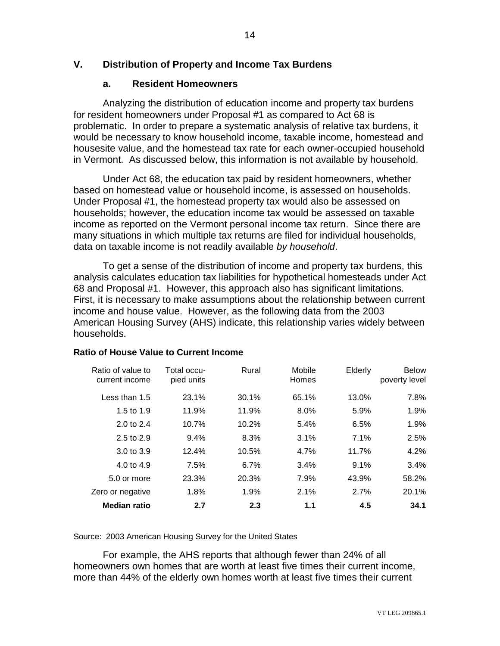# **V. Distribution of Property and Income Tax Burdens**

# **a. Resident Homeowners**

Analyzing the distribution of education income and property tax burdens for resident homeowners under Proposal #1 as compared to Act 68 is problematic. In order to prepare a systematic analysis of relative tax burdens, it would be necessary to know household income, taxable income, homestead and housesite value, and the homestead tax rate for each owner-occupied household in Vermont. As discussed below, this information is not available by household.

Under Act 68, the education tax paid by resident homeowners, whether based on homestead value or household income, is assessed on households. Under Proposal #1, the homestead property tax would also be assessed on households; however, the education income tax would be assessed on taxable income as reported on the Vermont personal income tax return. Since there are many situations in which multiple tax returns are filed for individual households, data on taxable income is not readily available *by household*.

To get a sense of the distribution of income and property tax burdens, this analysis calculates education tax liabilities for hypothetical homesteads under Act 68 and Proposal #1. However, this approach also has significant limitations. First, it is necessary to make assumptions about the relationship between current income and house value. However, as the following data from the 2003 American Housing Survey (AHS) indicate, this relationship varies widely between households.

| Ratio of value to<br>current income | Total occu-<br>pied units | Rural | Mobile<br>Homes | Elderly | <b>Below</b><br>poverty level |
|-------------------------------------|---------------------------|-------|-----------------|---------|-------------------------------|
| Less than 1.5                       | 23.1%                     | 30.1% | 65.1%           | 13.0%   | 7.8%                          |
| 1.5 to $1.9$                        | 11.9%                     | 11.9% | 8.0%            | 5.9%    | 1.9%                          |
| 2.0 to 2.4                          | 10.7%                     | 10.2% | 5.4%            | 6.5%    | 1.9%                          |
| 2.5 to 2.9                          | 9.4%                      | 8.3%  | 3.1%            | 7.1%    | 2.5%                          |
| $3.0 \text{ to } 3.9$               | 12.4%                     | 10.5% | 4.7%            | 11.7%   | 4.2%                          |
| 4.0 to 4.9                          | 7.5%                      | 6.7%  | 3.4%            | 9.1%    | 3.4%                          |
| 5.0 or more                         | 23.3%                     | 20.3% | 7.9%            | 43.9%   | 58.2%                         |
| Zero or negative                    | 1.8%                      | 1.9%  | 2.1%            | 2.7%    | 20.1%                         |
| <b>Median ratio</b>                 | 2.7                       | 2.3   | 1.1             | 4.5     | 34.1                          |

# **Ratio of House Value to Current Income**

Source: 2003 American Housing Survey for the United States

For example, the AHS reports that although fewer than 24% of all homeowners own homes that are worth at least five times their current income, more than 44% of the elderly own homes worth at least five times their current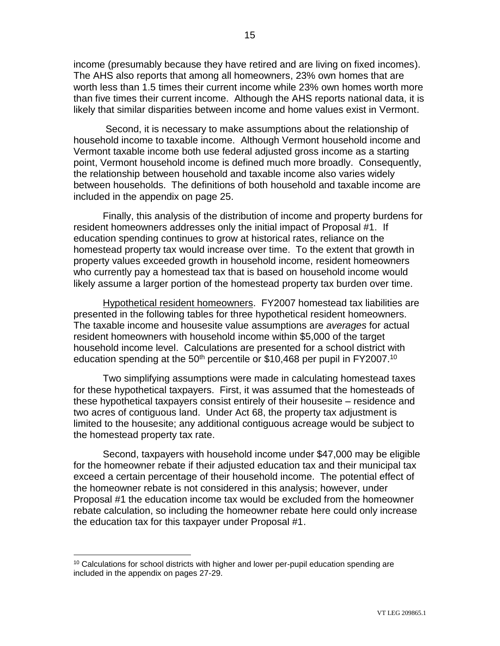income (presumably because they have retired and are living on fixed incomes). The AHS also reports that among all homeowners, 23% own homes that are worth less than 1.5 times their current income while 23% own homes worth more than five times their current income. Although the AHS reports national data, it is likely that similar disparities between income and home values exist in Vermont.

Second, it is necessary to make assumptions about the relationship of household income to taxable income. Although Vermont household income and Vermont taxable income both use federal adjusted gross income as a starting point, Vermont household income is defined much more broadly. Consequently, the relationship between household and taxable income also varies widely between households. The definitions of both household and taxable income are included in the appendix on page 25.

Finally, this analysis of the distribution of income and property burdens for resident homeowners addresses only the initial impact of Proposal #1. If education spending continues to grow at historical rates, reliance on the homestead property tax would increase over time. To the extent that growth in property values exceeded growth in household income, resident homeowners who currently pay a homestead tax that is based on household income would likely assume a larger portion of the homestead property tax burden over time.

Hypothetical resident homeowners. FY2007 homestead tax liabilities are presented in the following tables for three hypothetical resident homeowners. The taxable income and housesite value assumptions are *averages* for actual resident homeowners with household income within \$5,000 of the target household income level. Calculations are presented for a school district with education spending at the 50<sup>th</sup> percentile or \$10,468 per pupil in FY2007.<sup>10</sup>

Two simplifying assumptions were made in calculating homestead taxes for these hypothetical taxpayers. First, it was assumed that the homesteads of these hypothetical taxpayers consist entirely of their housesite – residence and two acres of contiguous land. Under Act 68, the property tax adjustment is limited to the housesite; any additional contiguous acreage would be subject to the homestead property tax rate.

Second, taxpayers with household income under \$47,000 may be eligible for the homeowner rebate if their adjusted education tax and their municipal tax exceed a certain percentage of their household income. The potential effect of the homeowner rebate is not considered in this analysis; however, under Proposal #1 the education income tax would be excluded from the homeowner rebate calculation, so including the homeowner rebate here could only increase the education tax for this taxpayer under Proposal #1.

 $\overline{a}$ 

<sup>&</sup>lt;sup>10</sup> Calculations for school districts with higher and lower per-pupil education spending are included in the appendix on pages 27-29.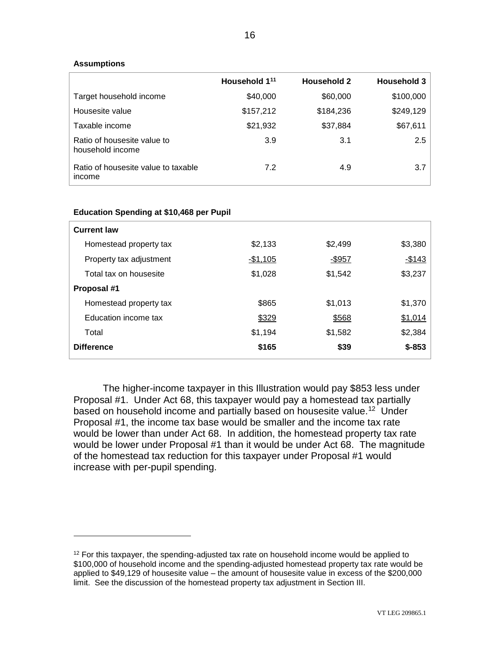### **Assumptions**

 $\overline{a}$ 

|                                                 | Household 1 <sup>11</sup> | <b>Household 2</b> | <b>Household 3</b> |
|-------------------------------------------------|---------------------------|--------------------|--------------------|
| Target household income                         | \$40,000                  | \$60,000           | \$100,000          |
| Housesite value                                 | \$157,212                 | \$184,236          | \$249,129          |
| Taxable income                                  | \$21,932                  | \$37,884           | \$67,611           |
| Ratio of housesite value to<br>household income | 3.9                       | 3.1                | 2.5                |
| Ratio of housesite value to taxable<br>income   | 7.2                       | 4.9                | 3.7                |

### **Education Spending at \$10,468 per Pupil**

| <b>Current law</b>      |           |               |          |
|-------------------------|-----------|---------------|----------|
| Homestead property tax  | \$2,133   | \$2,499       | \$3,380  |
| Property tax adjustment | $-$1,105$ | <u>-\$957</u> | $-$143$  |
| Total tax on housesite  | \$1,028   | \$1,542       | \$3,237  |
| Proposal #1             |           |               |          |
| Homestead property tax  | \$865     | \$1,013       | \$1,370  |
| Education income tax    | \$329     | \$568         | \$1,014  |
| Total                   | \$1,194   | \$1,582       | \$2,384  |
| <b>Difference</b>       | \$165     | \$39          | $$ -853$ |

The higher-income taxpayer in this Illustration would pay \$853 less under Proposal #1. Under Act 68, this taxpayer would pay a homestead tax partially based on household income and partially based on housesite value.<sup>12</sup> Under Proposal #1, the income tax base would be smaller and the income tax rate would be lower than under Act 68. In addition, the homestead property tax rate would be lower under Proposal #1 than it would be under Act 68. The magnitude of the homestead tax reduction for this taxpayer under Proposal #1 would increase with per-pupil spending.

 $12$  For this taxpayer, the spending-adjusted tax rate on household income would be applied to \$100,000 of household income and the spending-adjusted homestead property tax rate would be applied to \$49,129 of housesite value – the amount of housesite value in excess of the \$200,000 limit. See the discussion of the homestead property tax adjustment in Section III.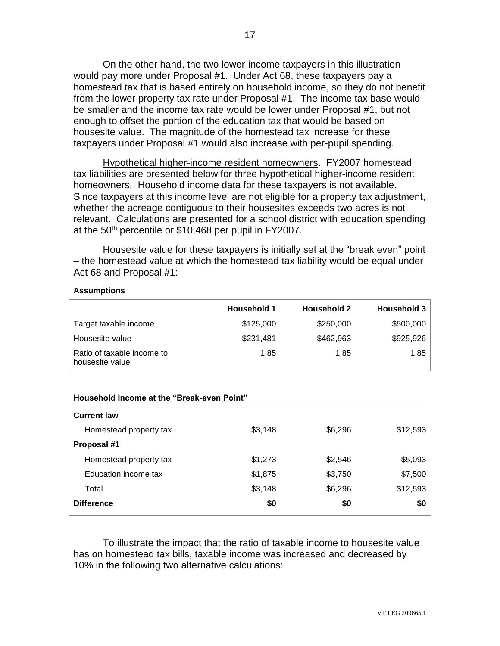On the other hand, the two lower-income taxpayers in this illustration would pay more under Proposal #1. Under Act 68, these taxpayers pay a homestead tax that is based entirely on household income, so they do not benefit from the lower property tax rate under Proposal #1. The income tax base would be smaller and the income tax rate would be lower under Proposal #1, but not enough to offset the portion of the education tax that would be based on housesite value. The magnitude of the homestead tax increase for these taxpayers under Proposal #1 would also increase with per-pupil spending.

Hypothetical higher-income resident homeowners. FY2007 homestead tax liabilities are presented below for three hypothetical higher-income resident homeowners. Household income data for these taxpayers is not available. Since taxpayers at this income level are not eligible for a property tax adjustment, whether the acreage contiguous to their housesites exceeds two acres is not relevant. Calculations are presented for a school district with education spending at the 50<sup>th</sup> percentile or \$10,468 per pupil in FY2007.

Housesite value for these taxpayers is initially set at the "break even" point – the homestead value at which the homestead tax liability would be equal under Act 68 and Proposal #1:

#### **Assumptions**

|                                               | <b>Household 1</b> | <b>Household 2</b> | <b>Household 3</b> |
|-----------------------------------------------|--------------------|--------------------|--------------------|
| Target taxable income                         | \$125,000          | \$250,000          | \$500,000          |
| Housesite value                               | \$231,481          | \$462,963          | \$925,926          |
| Ratio of taxable income to<br>housesite value | 1.85               | 1.85               | 1.85               |

### **Household Income at the "Break-even Point"**

| <b>Current law</b>     |         |         |          |
|------------------------|---------|---------|----------|
| Homestead property tax | \$3,148 | \$6,296 | \$12,593 |
| Proposal #1            |         |         |          |
| Homestead property tax | \$1,273 | \$2,546 | \$5,093  |
| Education income tax   | \$1,875 | \$3,750 | \$7,500  |
| Total                  | \$3,148 | \$6,296 | \$12,593 |
| <b>Difference</b>      | \$0     | \$0     | \$0      |

To illustrate the impact that the ratio of taxable income to housesite value has on homestead tax bills, taxable income was increased and decreased by 10% in the following two alternative calculations: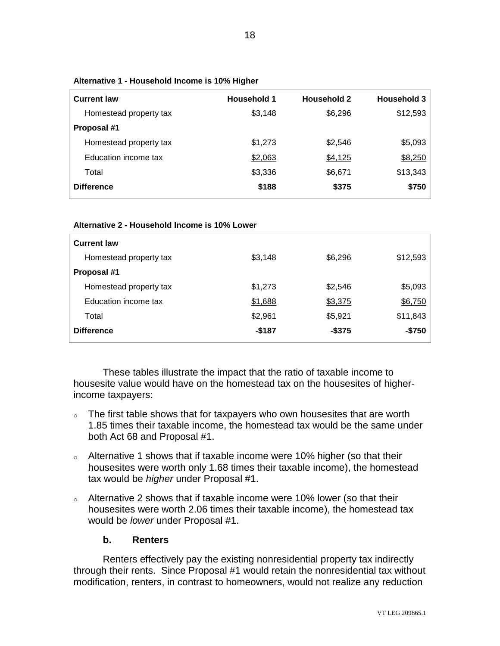| <b>Current law</b>     | <b>Household 1</b> | <b>Household 2</b> | <b>Household 3</b> |
|------------------------|--------------------|--------------------|--------------------|
| Homestead property tax | \$3,148            | \$6,296            | \$12,593           |
| Proposal #1            |                    |                    |                    |
| Homestead property tax | \$1,273            | \$2,546            | \$5,093            |
| Education income tax   | \$2,063            | \$4,125            | \$8,250            |
| Total                  | \$3,336            | \$6,671            | \$13,343           |
| <b>Difference</b>      | \$188              | \$375              | \$750              |

**Alternative 1 - Household Income is 10% Higher**

#### **Alternative 2 - Household Income is 10% Lower**

| <b>Current law</b>     |         |         |          |
|------------------------|---------|---------|----------|
| Homestead property tax | \$3,148 | \$6,296 | \$12,593 |
| Proposal #1            |         |         |          |
| Homestead property tax | \$1,273 | \$2,546 | \$5,093  |
| Education income tax   | \$1,688 | \$3,375 | \$6,750  |
| Total                  | \$2,961 | \$5,921 | \$11,843 |
| <b>Difference</b>      | $-$187$ | -\$375  | $-$750$  |

These tables illustrate the impact that the ratio of taxable income to housesite value would have on the homestead tax on the housesites of higherincome taxpayers:

- $\circ$  The first table shows that for taxpayers who own housesites that are worth 1.85 times their taxable income, the homestead tax would be the same under both Act 68 and Proposal #1.
- o Alternative 1 shows that if taxable income were 10% higher (so that their housesites were worth only 1.68 times their taxable income), the homestead tax would be *higher* under Proposal #1.
- <sup>o</sup> Alternative 2 shows that if taxable income were 10% lower (so that their housesites were worth 2.06 times their taxable income), the homestead tax would be *lower* under Proposal #1.

# **b. Renters**

Renters effectively pay the existing nonresidential property tax indirectly through their rents. Since Proposal #1 would retain the nonresidential tax without modification, renters, in contrast to homeowners, would not realize any reduction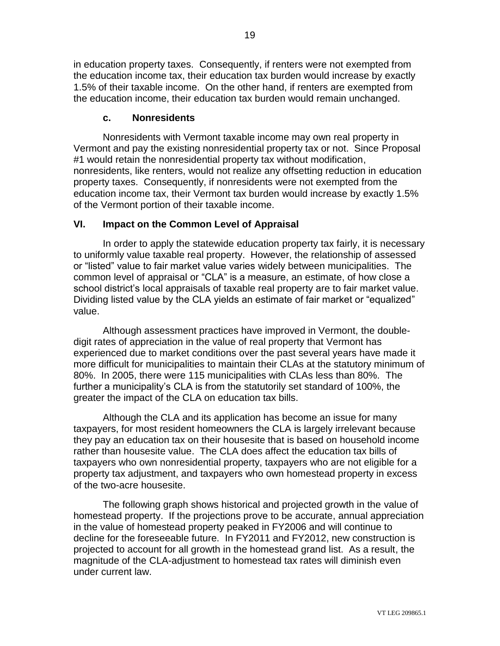in education property taxes. Consequently, if renters were not exempted from the education income tax, their education tax burden would increase by exactly 1.5% of their taxable income. On the other hand, if renters are exempted from the education income, their education tax burden would remain unchanged.

# **c. Nonresidents**

Nonresidents with Vermont taxable income may own real property in Vermont and pay the existing nonresidential property tax or not. Since Proposal #1 would retain the nonresidential property tax without modification, nonresidents, like renters, would not realize any offsetting reduction in education property taxes. Consequently, if nonresidents were not exempted from the education income tax, their Vermont tax burden would increase by exactly 1.5% of the Vermont portion of their taxable income.

# **VI. Impact on the Common Level of Appraisal**

In order to apply the statewide education property tax fairly, it is necessary to uniformly value taxable real property. However, the relationship of assessed or "listed" value to fair market value varies widely between municipalities. The common level of appraisal or "CLA" is a measure, an estimate, of how close a school district's local appraisals of taxable real property are to fair market value. Dividing listed value by the CLA yields an estimate of fair market or "equalized" value.

Although assessment practices have improved in Vermont, the doubledigit rates of appreciation in the value of real property that Vermont has experienced due to market conditions over the past several years have made it more difficult for municipalities to maintain their CLAs at the statutory minimum of 80%. In 2005, there were 115 municipalities with CLAs less than 80%. The further a municipality's CLA is from the statutorily set standard of 100%, the greater the impact of the CLA on education tax bills.

Although the CLA and its application has become an issue for many taxpayers, for most resident homeowners the CLA is largely irrelevant because they pay an education tax on their housesite that is based on household income rather than housesite value. The CLA does affect the education tax bills of taxpayers who own nonresidential property, taxpayers who are not eligible for a property tax adjustment, and taxpayers who own homestead property in excess of the two-acre housesite.

The following graph shows historical and projected growth in the value of homestead property. If the projections prove to be accurate, annual appreciation in the value of homestead property peaked in FY2006 and will continue to decline for the foreseeable future. In FY2011 and FY2012, new construction is projected to account for all growth in the homestead grand list. As a result, the magnitude of the CLA-adjustment to homestead tax rates will diminish even under current law.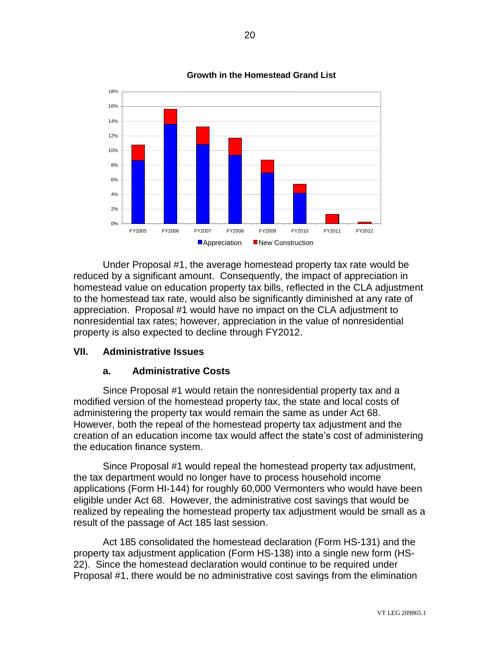

**Growth in the Homestead Grand List**

Under Proposal #1, the average homestead property tax rate would be reduced by a significant amount. Consequently, the impact of appreciation in homestead value on education property tax bills, reflected in the CLA adjustment to the homestead tax rate, would also be significantly diminished at any rate of appreciation. Proposal #1 would have no impact on the CLA adjustment to nonresidential tax rates; however, appreciation in the value of nonresidential property is also expected to decline through FY2012.

# **VII. Administrative Issues**

# **a. Administrative Costs**

Since Proposal #1 would retain the nonresidential property tax and a modified version of the homestead property tax, the state and local costs of administering the property tax would remain the same as under Act 68. However, both the repeal of the homestead property tax adjustment and the creation of an education income tax would affect the state's cost of administering the education finance system.

Since Proposal #1 would repeal the homestead property tax adjustment, the tax department would no longer have to process household income applications (Form HI-144) for roughly 60,000 Vermonters who would have been eligible under Act 68. However, the administrative cost savings that would be realized by repealing the homestead property tax adjustment would be small as a result of the passage of Act 185 last session.

Act 185 consolidated the homestead declaration (Form HS-131) and the property tax adjustment application (Form HS-138) into a single new form (HS-22). Since the homestead declaration would continue to be required under Proposal #1, there would be no administrative cost savings from the elimination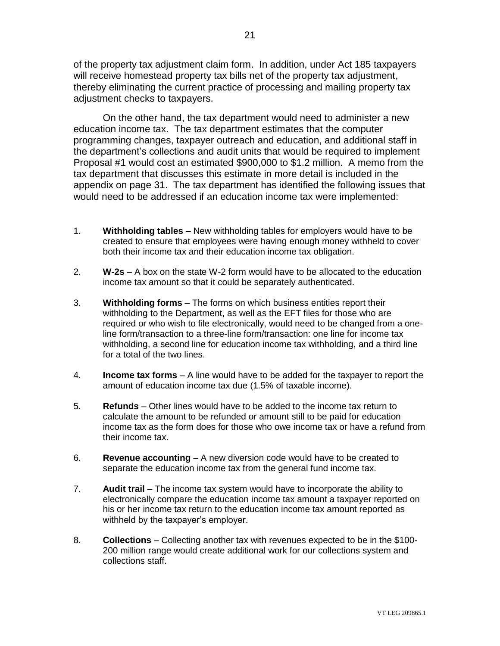of the property tax adjustment claim form. In addition, under Act 185 taxpayers will receive homestead property tax bills net of the property tax adjustment, thereby eliminating the current practice of processing and mailing property tax adjustment checks to taxpayers.

On the other hand, the tax department would need to administer a new education income tax. The tax department estimates that the computer programming changes, taxpayer outreach and education, and additional staff in the department's collections and audit units that would be required to implement Proposal #1 would cost an estimated \$900,000 to \$1.2 million. A memo from the tax department that discusses this estimate in more detail is included in the appendix on page 31. The tax department has identified the following issues that would need to be addressed if an education income tax were implemented:

- 1. **Withholding tables** New withholding tables for employers would have to be created to ensure that employees were having enough money withheld to cover both their income tax and their education income tax obligation.
- 2. **W-2s**  A box on the state W-2 form would have to be allocated to the education income tax amount so that it could be separately authenticated.
- 3. **Withholding forms** The forms on which business entities report their withholding to the Department, as well as the EFT files for those who are required or who wish to file electronically, would need to be changed from a oneline form/transaction to a three-line form/transaction: one line for income tax withholding, a second line for education income tax withholding, and a third line for a total of the two lines.
- 4. **Income tax forms** A line would have to be added for the taxpayer to report the amount of education income tax due (1.5% of taxable income).
- 5. **Refunds** Other lines would have to be added to the income tax return to calculate the amount to be refunded or amount still to be paid for education income tax as the form does for those who owe income tax or have a refund from their income tax.
- 6. **Revenue accounting** A new diversion code would have to be created to separate the education income tax from the general fund income tax.
- 7. **Audit trail** The income tax system would have to incorporate the ability to electronically compare the education income tax amount a taxpayer reported on his or her income tax return to the education income tax amount reported as withheld by the taxpayer's employer.
- 8. **Collections** Collecting another tax with revenues expected to be in the \$100- 200 million range would create additional work for our collections system and collections staff.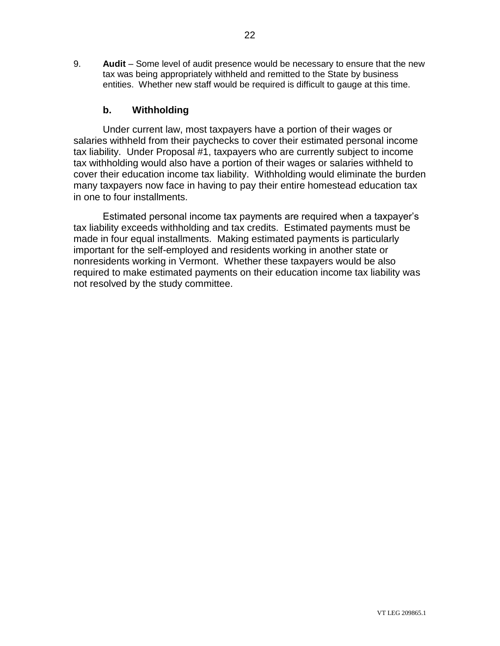9. **Audit** – Some level of audit presence would be necessary to ensure that the new tax was being appropriately withheld and remitted to the State by business entities. Whether new staff would be required is difficult to gauge at this time.

# **b. Withholding**

Under current law, most taxpayers have a portion of their wages or salaries withheld from their paychecks to cover their estimated personal income tax liability. Under Proposal #1, taxpayers who are currently subject to income tax withholding would also have a portion of their wages or salaries withheld to cover their education income tax liability. Withholding would eliminate the burden many taxpayers now face in having to pay their entire homestead education tax in one to four installments.

Estimated personal income tax payments are required when a taxpayer's tax liability exceeds withholding and tax credits. Estimated payments must be made in four equal installments. Making estimated payments is particularly important for the self-employed and residents working in another state or nonresidents working in Vermont. Whether these taxpayers would be also required to make estimated payments on their education income tax liability was not resolved by the study committee.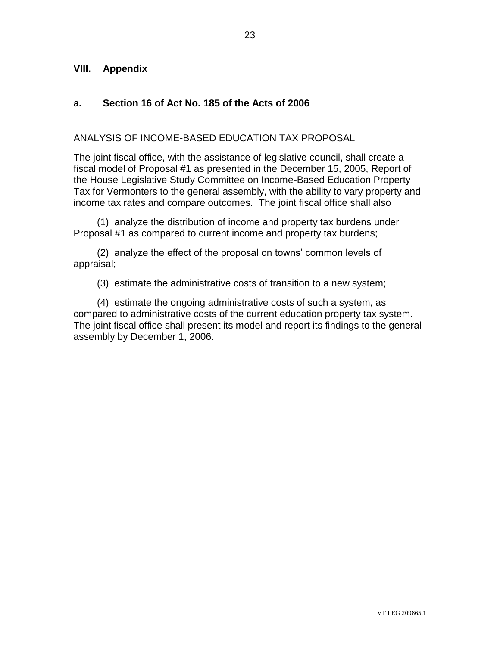# **VIII. Appendix**

# **a. Section 16 of Act No. 185 of the Acts of 2006**

### ANALYSIS OF INCOME-BASED EDUCATION TAX PROPOSAL

The joint fiscal office, with the assistance of legislative council, shall create a fiscal model of Proposal #1 as presented in the December 15, 2005, Report of the House Legislative Study Committee on Income-Based Education Property Tax for Vermonters to the general assembly, with the ability to vary property and income tax rates and compare outcomes. The joint fiscal office shall also

(1) analyze the distribution of income and property tax burdens under Proposal #1 as compared to current income and property tax burdens;

(2) analyze the effect of the proposal on towns' common levels of appraisal;

(3) estimate the administrative costs of transition to a new system;

(4) estimate the ongoing administrative costs of such a system, as compared to administrative costs of the current education property tax system. The joint fiscal office shall present its model and report its findings to the general assembly by December 1, 2006.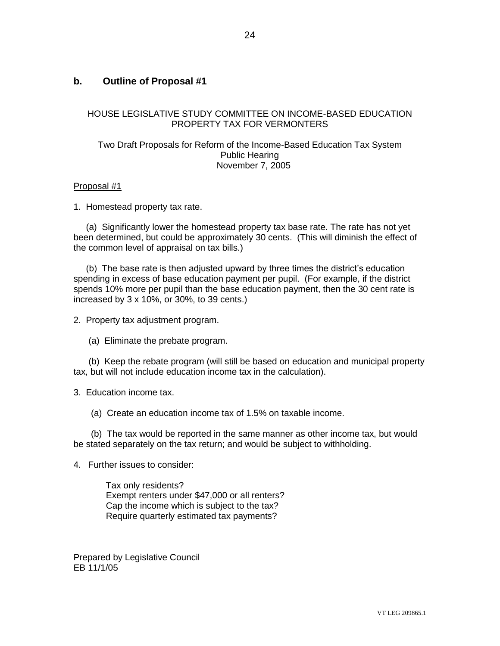# **b. Outline of Proposal #1**

### HOUSE LEGISLATIVE STUDY COMMITTEE ON INCOME-BASED EDUCATION PROPERTY TAX FOR VERMONTERS

### Two Draft Proposals for Reform of the Income-Based Education Tax System Public Hearing November 7, 2005

### Proposal #1

1. Homestead property tax rate.

 (a) Significantly lower the homestead property tax base rate. The rate has not yet been determined, but could be approximately 30 cents. (This will diminish the effect of the common level of appraisal on tax bills.)

 (b) The base rate is then adjusted upward by three times the district's education spending in excess of base education payment per pupil. (For example, if the district spends 10% more per pupil than the base education payment, then the 30 cent rate is increased by 3 x 10%, or 30%, to 39 cents.)

2. Property tax adjustment program.

(a) Eliminate the prebate program.

 (b) Keep the rebate program (will still be based on education and municipal property tax, but will not include education income tax in the calculation).

3. Education income tax.

(a) Create an education income tax of 1.5% on taxable income.

 (b) The tax would be reported in the same manner as other income tax, but would be stated separately on the tax return; and would be subject to withholding.

4. Further issues to consider:

 Tax only residents? Exempt renters under \$47,000 or all renters? Cap the income which is subject to the tax? Require quarterly estimated tax payments?

Prepared by Legislative Council EB 11/1/05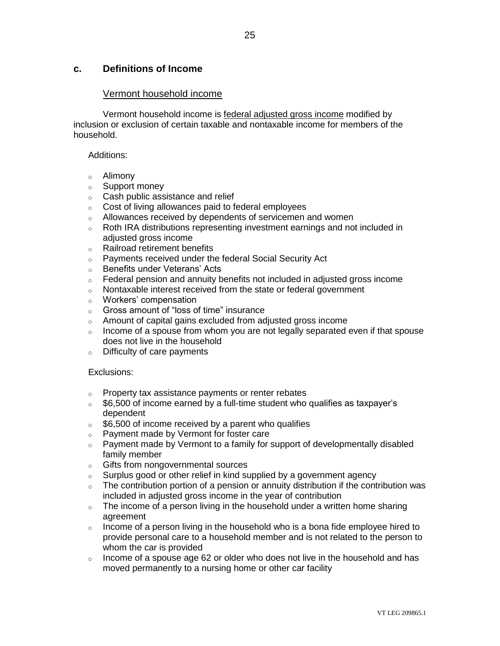# **c. Definitions of Income**

### Vermont household income

Vermont household income is federal adjusted gross income modified by inclusion or exclusion of certain taxable and nontaxable income for members of the household.

#### Additions:

- o Alimony
- o Support money
- o Cash public assistance and relief
- o Cost of living allowances paid to federal employees
- o Allowances received by dependents of servicemen and women
- o Roth IRA distributions representing investment earnings and not included in adjusted gross income
- o Railroad retirement benefits
- o Payments received under the federal Social Security Act
- o Benefits under Veterans' Acts
- $\circ$  Federal pension and annuity benefits not included in adjusted gross income
- o Nontaxable interest received from the state or federal government
- o Workers' compensation
- o Gross amount of "loss of time" insurance
- o Amount of capital gains excluded from adjusted gross income
- $\circ$  Income of a spouse from whom you are not legally separated even if that spouse does not live in the household
- o Difficulty of care payments

### Exclusions:

- o Property tax assistance payments or renter rebates
- $\delta$  \$6,500 of income earned by a full-time student who qualifies as taxpayer's dependent
- $\delta$  \$6,500 of income received by a parent who qualifies
- o Payment made by Vermont for foster care
- o Payment made by Vermont to a family for support of developmentally disabled family member
- o Gifts from nongovernmental sources
- o Surplus good or other relief in kind supplied by a government agency
- o The contribution portion of a pension or annuity distribution if the contribution was included in adjusted gross income in the year of contribution
- $\circ$  The income of a person living in the household under a written home sharing agreement
- $\circ$  Income of a person living in the household who is a bona fide employee hired to provide personal care to a household member and is not related to the person to whom the car is provided
- $\circ$  Income of a spouse age 62 or older who does not live in the household and has moved permanently to a nursing home or other car facility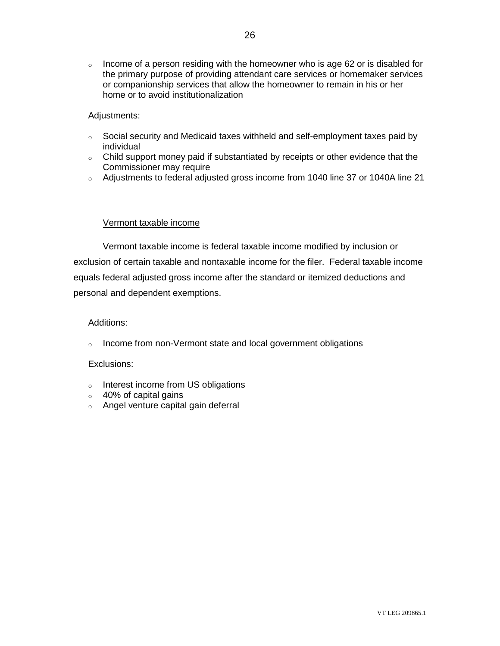$\circ$  Income of a person residing with the homeowner who is age 62 or is disabled for the primary purpose of providing attendant care services or homemaker services or companionship services that allow the homeowner to remain in his or her home or to avoid institutionalization

### Adjustments:

- o Social security and Medicaid taxes withheld and self-employment taxes paid by individual
- o Child support money paid if substantiated by receipts or other evidence that the Commissioner may require
- o Adjustments to federal adjusted gross income from 1040 line 37 or 1040A line 21

### Vermont taxable income

Vermont taxable income is federal taxable income modified by inclusion or exclusion of certain taxable and nontaxable income for the filer. Federal taxable income equals federal adjusted gross income after the standard or itemized deductions and personal and dependent exemptions.

### Additions:

o Income from non-Vermont state and local government obligations

### Exclusions:

- o Interest income from US obligations
- $\circ$  40% of capital gains
- o Angel venture capital gain deferral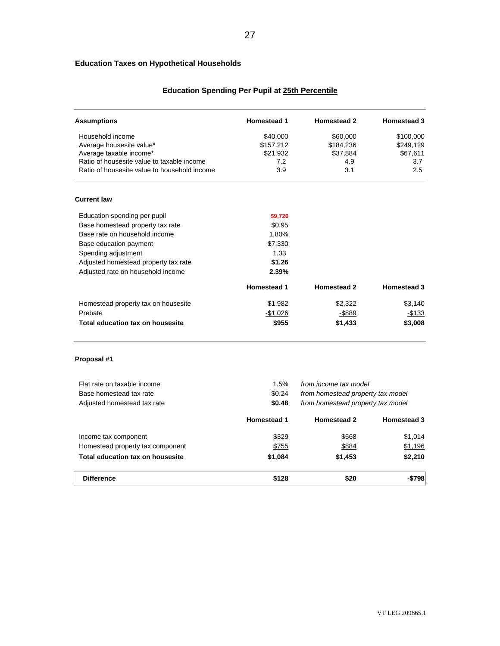### **Education Taxes on Hypothetical Households**

# **Education Spending Per Pupil at 25th Percentile**

| <b>Assumptions</b>                           | <b>Homestead 1</b> | <b>Homestead 2</b>                | <b>Homestead 3</b> |
|----------------------------------------------|--------------------|-----------------------------------|--------------------|
| Household income                             | \$40,000           | \$60,000                          | \$100,000          |
| Average housesite value*                     | \$157,212          | \$184,236                         | \$249,129          |
| Average taxable income*                      | \$21,932           | \$37,884                          | \$67,611           |
| Ratio of housesite value to taxable income   | 7.2                | 4.9                               | 3.7                |
| Ratio of housesite value to household income | 3.9                | 3.1                               | 2.5                |
| <b>Current law</b>                           |                    |                                   |                    |
| Education spending per pupil                 | \$9,726            |                                   |                    |
| Base homestead property tax rate             | \$0.95             |                                   |                    |
| Base rate on household income                | 1.80%              |                                   |                    |
| Base education payment                       | \$7,330            |                                   |                    |
| Spending adjustment                          | 1.33               |                                   |                    |
| Adjusted homestead property tax rate         | \$1.26             |                                   |                    |
| Adjusted rate on household income            | 2.39%              |                                   |                    |
|                                              | <b>Homestead 1</b> | <b>Homestead 2</b>                | <b>Homestead 3</b> |
| Homestead property tax on housesite          | \$1,982            | \$2,322                           | \$3,140            |
| Prebate                                      | $-$1,026$          | $-$ \$889                         | $-$133$            |
| Total education tax on housesite             | \$955              | \$1,433                           | \$3,008            |
| Proposal #1                                  |                    |                                   |                    |
| Flat rate on taxable income                  | 1.5%               | from income tax model             |                    |
| Base homestead tax rate                      | \$0.24             | from homestead property tax model |                    |
| Adjusted homestead tax rate                  | \$0.48             | from homestead property tax model |                    |
|                                              | <b>Homestead 1</b> | <b>Homestead 2</b>                | <b>Homestead 3</b> |
| Income tax component                         | \$329              | \$568                             | \$1.014            |

| <b>Difference</b>                | \$128   | \$20    | $-$798$ |
|----------------------------------|---------|---------|---------|
| Total education tax on housesite | \$1.084 | \$1.453 | \$2,210 |
| Homestead property tax component | \$755   | \$884   | \$1,196 |
| mcome tax component              | ১১∠৬    | აახბ    | 11.U14  |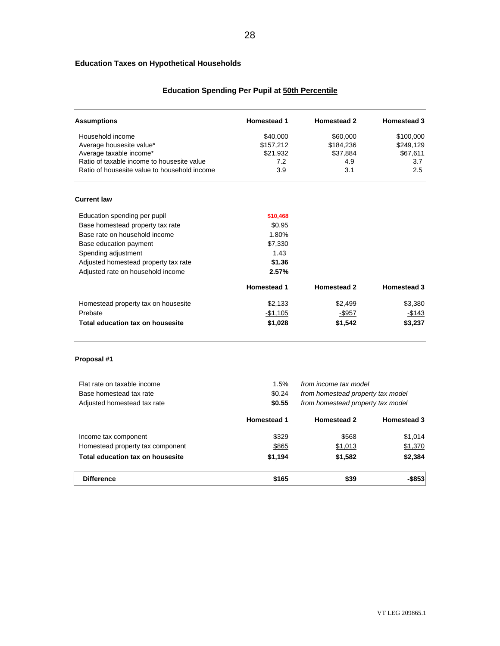### **Education Taxes on Hypothetical Households**

# **Education Spending Per Pupil at 50th Percentile**

| <b>Assumptions</b>                           | <b>Homestead 1</b> | <b>Homestead 2</b>                | <b>Homestead 3</b> |
|----------------------------------------------|--------------------|-----------------------------------|--------------------|
| Household income                             | \$40,000           | \$60,000                          | \$100,000          |
| Average housesite value*                     | \$157,212          | \$184,236                         | \$249,129          |
| Average taxable income*                      | \$21,932           | \$37,884                          | \$67,611           |
| Ratio of taxable income to housesite value   | 7.2                | 4.9                               | 3.7                |
| Ratio of housesite value to household income | 3.9                | 3.1                               | 2.5                |
| <b>Current law</b>                           |                    |                                   |                    |
| Education spending per pupil                 | \$10,468           |                                   |                    |
| Base homestead property tax rate             | \$0.95             |                                   |                    |
| Base rate on household income                | 1.80%              |                                   |                    |
| Base education payment                       | \$7,330            |                                   |                    |
| Spending adjustment                          | 1.43               |                                   |                    |
| Adjusted homestead property tax rate         | \$1.36             |                                   |                    |
| Adjusted rate on household income            | 2.57%              |                                   |                    |
|                                              | <b>Homestead 1</b> | <b>Homestead 2</b>                | <b>Homestead 3</b> |
| Homestead property tax on housesite          | \$2,133            | \$2,499                           | \$3,380            |
| Prebate                                      | $-$1,105$          | $-$ \$957                         | $-$ \$143          |
| Total education tax on housesite             | \$1,028            | \$1,542                           | \$3,237            |
| Proposal #1                                  |                    |                                   |                    |
| Flat rate on taxable income                  | 1.5%               | from income tax model             |                    |
| Base homestead tax rate                      | \$0.24             | from homestead property tax model |                    |
| Adjusted homestead tax rate                  | \$0.55             | from homestead property tax model |                    |
|                                              | <b>Homestead 1</b> | <b>Homestead 2</b>                | <b>Homestead 3</b> |
| Income tax component                         | \$329              | \$568                             | \$1,014            |
|                                              |                    |                                   |                    |

| <b>Difference</b>                | \$165   | \$39    | $-$ \$853 |
|----------------------------------|---------|---------|-----------|
| Total education tax on housesite | \$1.194 | \$1.582 | \$2.384   |
| Homestead property tax component | \$865   | \$1,013 | \$1,370   |
|                                  |         |         |           |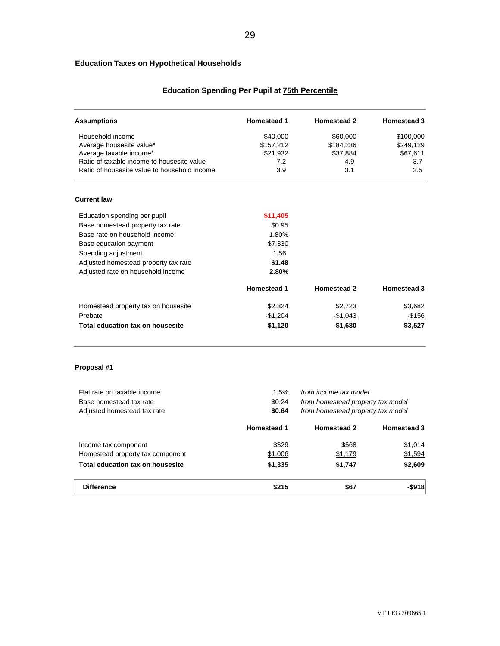### **Education Taxes on Hypothetical Households**

# **Education Spending Per Pupil at 75th Percentile**

29

| <b>Assumptions</b>                           | <b>Homestead 1</b> | <b>Homestead 2</b>                | <b>Homestead 3</b> |
|----------------------------------------------|--------------------|-----------------------------------|--------------------|
| Household income                             | \$40,000           | \$60,000                          | \$100,000          |
| Average housesite value*                     | \$157,212          | \$184,236                         | \$249,129          |
| Average taxable income*                      | \$21,932           | \$37,884                          | \$67,611           |
| Ratio of taxable income to housesite value   | 7.2                | 4.9                               | 3.7                |
| Ratio of housesite value to household income | 3.9                | 3.1                               | 2.5                |
| <b>Current law</b>                           |                    |                                   |                    |
| Education spending per pupil                 | \$11,405           |                                   |                    |
| Base homestead property tax rate             | \$0.95             |                                   |                    |
| Base rate on household income                | 1.80%              |                                   |                    |
| Base education payment                       | \$7,330            |                                   |                    |
| Spending adjustment                          | 1.56               |                                   |                    |
| Adjusted homestead property tax rate         | \$1.48             |                                   |                    |
| Adjusted rate on household income            | 2.80%              |                                   |                    |
|                                              | <b>Homestead 1</b> | <b>Homestead 2</b>                | <b>Homestead 3</b> |
| Homestead property tax on housesite          | \$2,324            | \$2,723                           | \$3,682            |
| Prebate                                      | $-$1,204$          | $-$1,043$                         | $-$156$            |
| <b>Total education tax on housesite</b>      | \$1,120            | \$1,680                           | \$3,527            |
| Proposal #1                                  |                    |                                   |                    |
| Flat rate on taxable income                  | 1.5%               | from income tax model             |                    |
| Base homestead tax rate                      | \$0.24             | from homestead property tax model |                    |
| Adjusted homestead tax rate                  | \$0.64             | from homestead property tax model |                    |
|                                              | <b>Homestead 1</b> | <b>Homestead 2</b>                | <b>Homestead 3</b> |
| Income tax component                         | \$329              | \$568                             | \$1,014            |
| Homestead property tax component             | \$1,006            | \$1,179                           | \$1,594            |
| <b>Total education tax on housesite</b>      | \$1,335            | \$1,747                           | \$2,609            |

**Difference \$215 \$67 -\$918**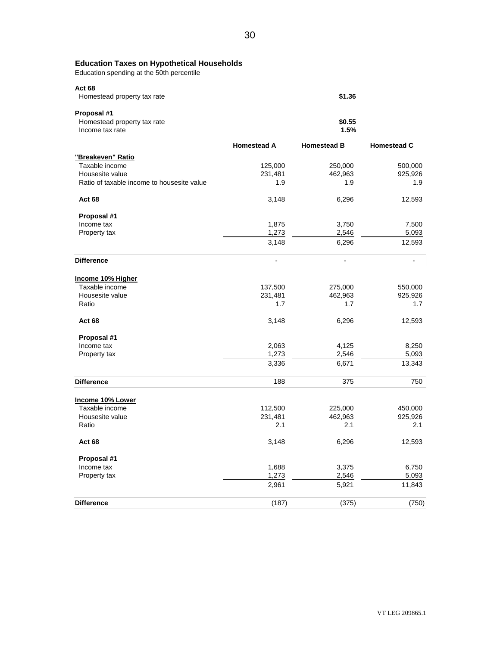Education spending at the 50th percentile **Act 68 \$1.36 Proposal #1 \$0.55 1.5% Homestead A Homestead B Homestead C "Breakeven" Ratio** Taxable income **125,000** 250,000 500,000 500,000 Housesite value 231,481 462,963 925,926 Ratio of taxable income to housesite value 1.9 1.9 1.9 1.9 1.9 1.9 1.9 **Act 68** 2,593 **12,593 Proposal #1**   $1,875$  3,750  $7,500$ Property tax 1,273 2,546 5,093 3,148 6,296 12,593 **Difference** - - - **Income 10% Higher** Taxable income 137,500 275,000 550,000 550,000 550,000 550,000 550,000 550,000 550,000 550,000 550,000 550,000<br>
Housesite value 325,926 325,926 50,000 505,926 50,000 505,926 50,000 505,926 50,000 500,000 500,000 500,000 50 Housesite value Ratio 1.7 1.7 1.7 **Act 68** 2,593 **12,593 Proposal #1**  Income tax 2,063 4,125 8,250 Property tax 1,273 2,546 5,093 3,336 6,671 13,343 **Difference** 2008 2014 2020 2020 2031 2040 2050 2060 2071 2080 2091 2092 2093 2094 2094 2094 2094 2094 2094 2095 20 **Income 10% Lower** Taxable income **112,500** 225,000 450,000 450,000 450,000 450,000 450,000 450,000 450,000 450,000 450,000 450,000 450,000 450,000 450,000 450,000 450,000 450,000 450,000 450,000 450,000 450,000 450,000 450,000 450,000 450,0 Housesite value Ratio 2.1 2.1 2.1 **Act 68** 2,593 **12,593** 3,148 6,296 12,593 **Proposal #1**   $1,688$  3,375 6,750 6,750 Property tax 1,273 2,546 5,093 2,961 5,921 11,843 Homestead property tax rate Homestead property tax rate Income tax rate

**Difference** (187) (375) (750)

**Education Taxes on Hypothetical Households**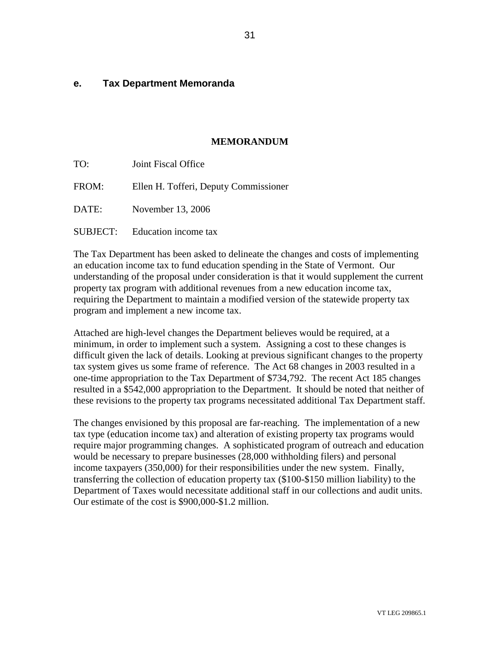### **e. Tax Department Memoranda**

### **MEMORANDUM**

| TO:   | Joint Fiscal Office                   |
|-------|---------------------------------------|
| FROM: | Ellen H. Tofferi, Deputy Commissioner |
| DATE: | November 13, 2006                     |
|       | <b>SUBJECT:</b> Education income tax  |

The Tax Department has been asked to delineate the changes and costs of implementing an education income tax to fund education spending in the State of Vermont. Our understanding of the proposal under consideration is that it would supplement the current property tax program with additional revenues from a new education income tax, requiring the Department to maintain a modified version of the statewide property tax program and implement a new income tax.

Attached are high-level changes the Department believes would be required, at a minimum, in order to implement such a system. Assigning a cost to these changes is difficult given the lack of details. Looking at previous significant changes to the property tax system gives us some frame of reference. The Act 68 changes in 2003 resulted in a one-time appropriation to the Tax Department of \$734,792. The recent Act 185 changes resulted in a \$542,000 appropriation to the Department. It should be noted that neither of these revisions to the property tax programs necessitated additional Tax Department staff.

The changes envisioned by this proposal are far-reaching. The implementation of a new tax type (education income tax) and alteration of existing property tax programs would require major programming changes. A sophisticated program of outreach and education would be necessary to prepare businesses (28,000 withholding filers) and personal income taxpayers (350,000) for their responsibilities under the new system. Finally, transferring the collection of education property tax (\$100-\$150 million liability) to the Department of Taxes would necessitate additional staff in our collections and audit units. Our estimate of the cost is \$900,000-\$1.2 million.